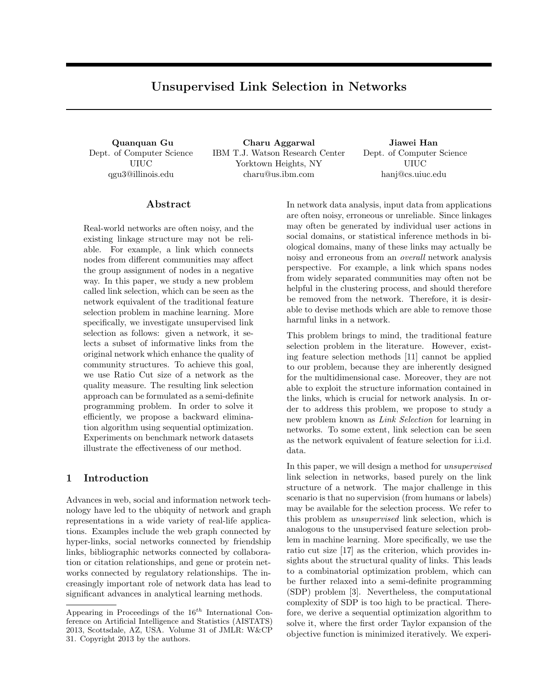# **Unsupervised Link Selection in Networks**

Dept. of Computer Science UIUC qgu3@illinois.edu

**Quanquan Gu Charu Aggarwal Jiawei Han** IBM T.J. Watson Research Center Yorktown Heights, NY charu@us.ibm.com

Dept. of Computer Science UIUC hanj@cs.uiuc.edu

### **Abstract**

Real-world networks are often noisy, and the existing linkage structure may not be reliable. For example, a link which connects nodes from different communities may affect the group assignment of nodes in a negative way. In this paper, we study a new problem called link selection, which can be seen as the network equivalent of the traditional feature selection problem in machine learning. More specifically, we investigate unsupervised link selection as follows: given a network, it selects a subset of informative links from the original network which enhance the quality of community structures. To achieve this goal, we use Ratio Cut size of a network as the quality measure. The resulting link selection approach can be formulated as a semi-definite programming problem. In order to solve it efficiently, we propose a backward elimination algorithm using sequential optimization. Experiments on benchmark network datasets illustrate the effectiveness of our method.

# **1 Introduction**

Advances in web, social and information network technology have led to the ubiquity of network and graph representations in a wide variety of real-life applications. Examples include the web graph connected by hyper-links, social networks connected by friendship links, bibliographic networks connected by collaboration or citation relationships, and gene or protein networks connected by regulatory relationships. The increasingly important role of network data has lead to significant advances in analytical learning methods.

In network data analysis, input data from applications are often noisy, erroneous or unreliable. Since linkages may often be generated by individual user actions in social domains, or statistical inference methods in biological domains, many of these links may actually be noisy and erroneous from an *overall* network analysis perspective. For example, a link which spans nodes from widely separated communities may often not be helpful in the clustering process, and should therefore be removed from the network. Therefore, it is desirable to devise methods which are able to remove those harmful links in a network.

This problem brings to mind, the traditional feature selection problem in the literature. However, existing feature selection methods [11] cannot be applied to our problem, because they are inherently designed for the multidimensional case. Moreover, they are not able to exploit the structure information contained in the links, which is crucial for network analysis. In order to address this problem, we propose to study a new problem known as *Link Selection* for learning in networks. To some extent, link selection can be seen as the network equivalent of feature selection for i.i.d. data.

In this paper, we will design a method for *unsupervised* link selection in networks, based purely on the link structure of a network. The major challenge in this scenario is that no supervision (from humans or labels) may be available for the selection process. We refer to this problem as *unsupervised* link selection, which is analogous to the unsupervised feature selection problem in machine learning. More specifically, we use the ratio cut size [17] as the criterion, which provides insights about the structural quality of links. This leads to a combinatorial optimization problem, which can be further relaxed into a semi-definite programming (SDP) problem [3]. Nevertheless, the computational complexity of SDP is too high to be practical. Therefore, we derive a sequential optimization algorithm to solve it, where the first order Taylor expansion of the objective function is minimized iteratively. We experi-

Appearing in Proceedings of the 16*th* International Conference on Artificial Intelligence and Statistics (AISTATS) 2013, Scottsdale, AZ, USA. Volume 31 of JMLR: W&CP 31. Copyright 2013 by the authors.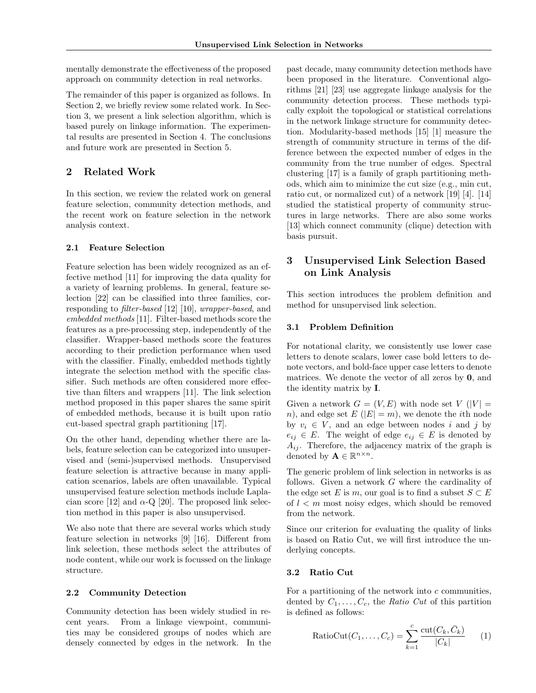mentally demonstrate the effectiveness of the proposed approach on community detection in real networks.

The remainder of this paper is organized as follows. In Section 2, we briefly review some related work. In Section 3, we present a link selection algorithm, which is based purely on linkage information. The experimental results are presented in Section 4. The conclusions and future work are presented in Section 5.

# **2 Related Work**

In this section, we review the related work on general feature selection, community detection methods, and the recent work on feature selection in the network analysis context.

### **2.1 Feature Selection**

Feature selection has been widely recognized as an effective method [11] for improving the data quality for a variety of learning problems. In general, feature selection [22] can be classified into three families, corresponding to *filter-based* [12] [10], *wrapper-based*, and *embedded methods* [11]. Filter-based methods score the features as a pre-processing step, independently of the classifier. Wrapper-based methods score the features according to their prediction performance when used with the classifier. Finally, embedded methods tightly integrate the selection method with the specific classifier. Such methods are often considered more effective than filters and wrappers [11]. The link selection method proposed in this paper shares the same spirit of embedded methods, because it is built upon ratio cut-based spectral graph partitioning [17].

On the other hand, depending whether there are labels, feature selection can be categorized into unsupervised and (semi-)supervised methods. Unsupervised feature selection is attractive because in many application scenarios, labels are often unavailable. Typical unsupervised feature selection methods include Laplacian score [12] and  $\alpha$ -Q [20]. The proposed link selection method in this paper is also unsupervised.

We also note that there are several works which study feature selection in networks [9] [16]. Different from link selection, these methods select the attributes of node content, while our work is focussed on the linkage structure.

### **2.2 Community Detection**

Community detection has been widely studied in recent years. From a linkage viewpoint, communities may be considered groups of nodes which are densely connected by edges in the network. In the

past decade, many community detection methods have been proposed in the literature. Conventional algorithms [21] [23] use aggregate linkage analysis for the community detection process. These methods typically exploit the topological or statistical correlations in the network linkage structure for community detection. Modularity-based methods [15] [1] measure the strength of community structure in terms of the difference between the expected number of edges in the community from the true number of edges. Spectral clustering [17] is a family of graph partitioning methods, which aim to minimize the cut size (e.g., min cut, ratio cut, or normalized cut) of a network [19] [4]. [14] studied the statistical property of community structures in large networks. There are also some works [13] which connect community (clique) detection with basis pursuit.

# **3 Unsupervised Link Selection Based on Link Analysis**

This section introduces the problem definition and method for unsupervised link selection.

### **3.1 Problem Definition**

For notational clarity, we consistently use lower case letters to denote scalars, lower case bold letters to denote vectors, and bold-face upper case letters to denote matrices. We denote the vector of all zeros by **0**, and the identity matrix by **I**.

Given a network  $G = (V, E)$  with node set  $V(|V|)$ *n*), and edge set  $E(|E|=m)$ , we denote the *i*th node by  $v_i \in V$ , and an edge between nodes *i* and *j* by  $e_{ij} \in E$ . The weight of edge  $e_{ij} \in E$  is denoted by  $A_{ij}$ . Therefore, the adjacency matrix of the graph is denoted by  $\mathbf{A} \in \mathbb{R}^{n \times n}$ .

The generic problem of link selection in networks is as follows. Given a network *G* where the cardinality of the edge set *E* is *m*, our goal is to find a subset  $S \subset E$ of *l < m* most noisy edges, which should be removed from the network.

Since our criterion for evaluating the quality of links is based on Ratio Cut, we will first introduce the underlying concepts.

### **3.2 Ratio Cut**

For a partitioning of the network into *c* communities, dented by  $C_1, \ldots, C_c$ , the *Ratio Cut* of this partition is defined as follows:

$$
RatioCut(C_1, ..., C_c) = \sum_{k=1}^{c} \frac{\text{cut}(C_k, \bar{C}_k)}{|C_k|}
$$
 (1)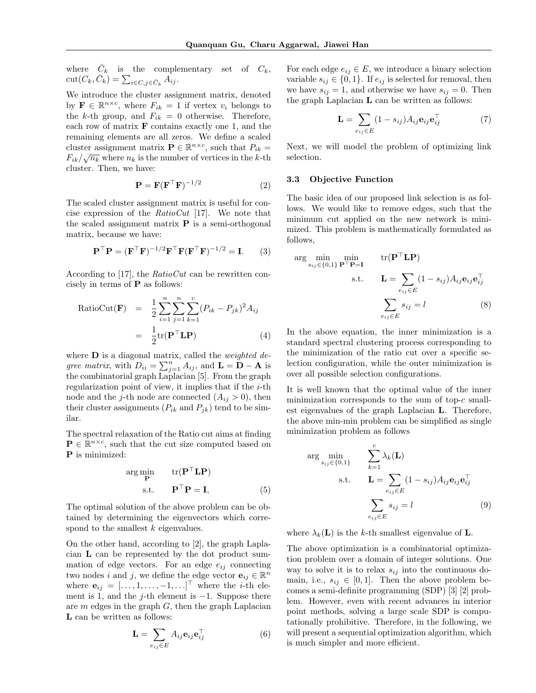where  $\bar{C}_k$  is the complementary set of  $C_k$ ,  $\text{cut}(C_k, \bar{C}_k) = \sum_{i \in C, j \in \bar{C}_k} A_{ij}.$ 

We introduce the cluster assignment matrix, denoted by  $\mathbf{F} \in \mathbb{R}^{n \times c}$ , where  $F_{ik} = 1$  if vertex  $v_i$  belongs to the *k*-th group, and  $F_{ik} = 0$  otherwise. Therefore, each row of matrix **F** contains exactly one 1, and the remaining elements are all zeros. We define a scaled cluster assignment matrix  $\mathbf{P} \in \mathbb{R}^{n \times c}$ , such that  $P_{ik} =$  $F_{ik}/\sqrt{n_k}$  where  $n_k$  is the number of vertices in the *k*-th cluster. Then, we have:

$$
\mathbf{P} = \mathbf{F}(\mathbf{F}^{\top}\mathbf{F})^{-1/2} \tag{2}
$$

The scaled cluster assignment matrix is useful for concise expression of the *RatioCut* [17]. We note that the scaled assignment matrix **P** is a semi-orthogonal matrix, because we have:

$$
\mathbf{P}^{\top}\mathbf{P} = (\mathbf{F}^{\top}\mathbf{F})^{-1/2}\mathbf{F}^{\top}\mathbf{F}(\mathbf{F}^{\top}\mathbf{F})^{-1/2} = \mathbf{I}.
$$
 (3)

According to [17], the *RatioCut* can be rewritten concisely in terms of **P** as follows:

RatioCut(**F**) = 
$$
\frac{1}{2} \sum_{i=1}^{n} \sum_{j=1}^{n} \sum_{k=1}^{c} (P_{ik} - P_{jk})^2 A_{ij}
$$

$$
= \frac{1}{2} tr(\mathbf{P}^\top \mathbf{L} \mathbf{P})
$$
(4)

where **D** is a diagonal matrix, called the *weighted degree matrix*, with  $D_{ii} = \sum_{j=1}^{n} A_{ij}$ , and  $\mathbf{L} = \mathbf{D} - \mathbf{A}$  is the combinatorial graph Laplacian [5]. From the graph regularization point of view, it implies that if the *i*-th node and the *j*-th node are connected  $(A_{ij} > 0)$ , then their cluster assignments  $(P_{ik}$  and  $P_{jk})$  tend to be similar.

The spectral relaxation of the Ratio cut aims at finding  $P \in \mathbb{R}^{n \times c}$ , such that the cut size computed based on **P** is minimized:

$$
\arg\min_{\mathbf{P}} \qquad \text{tr}(\mathbf{P}^{\top}\mathbf{L}\mathbf{P})
$$
  
s.t. 
$$
\mathbf{P}^{\top}\mathbf{P} = \mathbf{I}, \tag{5}
$$

The optimal solution of the above problem can be obtained by determining the eigenvectors which correspond to the smallest *k* eigenvalues.

On the other hand, according to [2], the graph Laplacian **L** can be represented by the dot product summation of edge vectors. For an edge  $e_{ij}$  connecting two nodes *i* and *j*, we define the edge vector  $\mathbf{e}_{ij} \in \mathbb{R}^n$ where  $\mathbf{e}_{ij} = [...,1,...,-1,...]^{\top}$  where the *i*-th element is 1, and the *j*-th element is *−*1. Suppose there are *m* edges in the graph *G*, then the graph Laplacian **L** can be written as follows:

$$
\mathbf{L} = \sum_{e_{ij} \in E} A_{ij} \mathbf{e}_{ij} \mathbf{e}_{ij}^{\top} \tag{6}
$$

For each edge  $e_{ij} \in E$ , we introduce a binary selection variable  $s_{ij} \in \{0, 1\}$ . If  $e_{ij}$  is selected for removal, then we have  $s_{ij} = 1$ , and otherwise we have  $s_{ij} = 0$ . Then the graph Laplacian **L** can be written as follows:

$$
\mathbf{L} = \sum_{e_{ij} \in E} (1 - s_{ij}) A_{ij} \mathbf{e}_{ij} \mathbf{e}_{ij}^{\top} \tag{7}
$$

Next, we will model the problem of optimizing link selection.

#### **3.3 Objective Function**

The basic idea of our proposed link selection is as follows. We would like to remove edges, such that the minimum cut applied on the new network is minimized. This problem is mathematically formulated as follows,

$$
\arg \min_{s_{ij} \in \{0,1\}} \min_{\mathbf{P}^{\top} \mathbf{P} = \mathbf{I}} \text{tr}(\mathbf{P}^{\top} \mathbf{L} \mathbf{P})
$$
  
s.t. 
$$
\mathbf{L} = \sum_{e_{ij} \in E} (1 - s_{ij}) A_{ij} \mathbf{e}_{ij} \mathbf{e}_{ij}^{\top}
$$

$$
\sum_{e_{ij} \in E} s_{ij} = l \tag{8}
$$

In the above equation, the inner minimization is a standard spectral clustering process corresponding to the minimization of the ratio cut over a specific selection configuration, while the outer minimization is over all possible selection configurations.

It is well known that the optimal value of the inner minimization corresponds to the sum of top-*c* smallest eigenvalues of the graph Laplacian **L**. Therefore, the above min-min problem can be simplified as single minimization problem as follows

$$
\arg \min_{s_{ij} \in \{0,1\}} \qquad \sum_{k=1}^{c} \lambda_k(\mathbf{L})
$$
  
s.t. 
$$
\mathbf{L} = \sum_{e_{ij} \in E} (1 - s_{ij}) A_{ij} \mathbf{e}_{ij} \mathbf{e}_{ij}^{\top}
$$

$$
\sum_{e_{ij} \in E} s_{ij} = l \tag{9}
$$

where  $\lambda_k(\mathbf{L})$  is the *k*-th smallest eigenvalue of **L**.

The above optimization is a combinatorial optimization problem over a domain of integer solutions. One way to solve it is to relax  $s_{ij}$  into the continuous domain, i.e.,  $s_{ij} \in [0,1]$ . Then the above problem becomes a semi-definite programming (SDP) [3] [2] problem. However, even with recent advances in interior point methods, solving a large scale SDP is computationally prohibitive. Therefore, in the following, we will present a sequential optimization algorithm, which is much simpler and more efficient.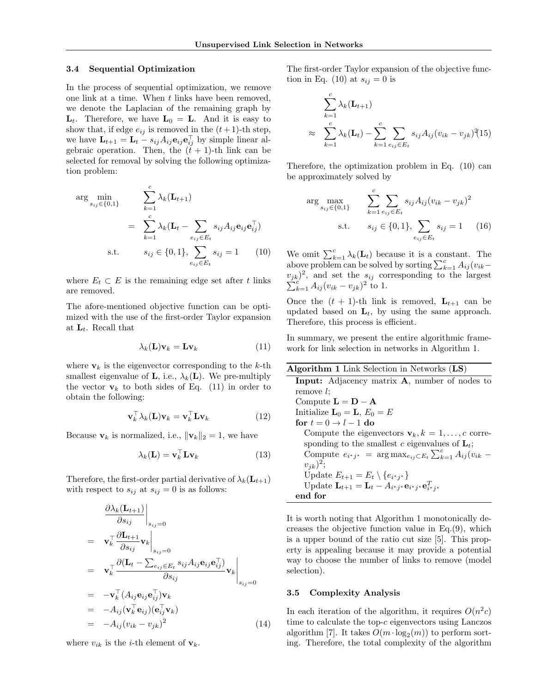#### **3.4 Sequential Optimization**

In the process of sequential optimization, we remove one link at a time. When *t* links have been removed, we denote the Laplacian of the remaining graph by  $\mathbf{L}_t$ . Therefore, we have  $\mathbf{L}_0 = \mathbf{L}$ . And it is easy to show that, if edge  $e_{ij}$  is removed in the  $(t+1)$ -th step, we have  $\mathbf{L}_{t+1} = \mathbf{L}_t - s_{ij} A_{ij} \mathbf{e}_{ij} \mathbf{e}_{ij}^\top$  by simple linear algebraic operation. Then, the  $(t + 1)$ -th link can be selected for removal by solving the following optimization problem:

$$
\arg \min_{s_{ij} \in \{0,1\}} \qquad \sum_{k=1}^{c} \lambda_k (\mathbf{L}_{t+1})
$$
\n
$$
= \sum_{k=1}^{c} \lambda_k (\mathbf{L}_t - \sum_{e_{ij} \in E_t} s_{ij} A_{ij} \mathbf{e}_{ij} \mathbf{e}_{ij}^\top)
$$
\n
$$
\text{s.t.} \qquad s_{ij} \in \{0,1\}, \sum_{e_{ij} \in E_t} s_{ij} = 1 \qquad (10)
$$

where  $E_t \subset E$  is the remaining edge set after *t* links are removed.

The afore-mentioned objective function can be optimized with the use of the first-order Taylor expansion at **L***t*. Recall that

$$
\lambda_k(\mathbf{L})\mathbf{v}_k = \mathbf{L}\mathbf{v}_k \tag{11}
$$

where  $\mathbf{v}_k$  is the eigenvector corresponding to the  $k$ -th smallest eigenvalue of **L**, i.e.,  $\lambda_k(\mathbf{L})$ . We pre-multiply the vector  $\mathbf{v}_k$  to both sides of Eq. (11) in order to obtain the following:

$$
\mathbf{v}_k^{\top} \lambda_k(\mathbf{L}) \mathbf{v}_k = \mathbf{v}_k^{\top} \mathbf{L} \mathbf{v}_k \tag{12}
$$

Because  $\mathbf{v}_k$  is normalized, i.e.,  $\|\mathbf{v}_k\|_2 = 1$ , we have

$$
\lambda_k(\mathbf{L}) = \mathbf{v}_k^\top \mathbf{L} \mathbf{v}_k \tag{13}
$$

Therefore, the first-order partial derivative of  $\lambda_k(\mathbf{L}_{t+1})$ with respect to  $s_{ij}$  at  $s_{ij} = 0$  is as follows:

$$
\frac{\partial \lambda_k(\mathbf{L}_{t+1})}{\partial s_{ij}}\Big|_{s_{ij}=0}
$$
\n
$$
= \mathbf{v}_k^\top \frac{\partial \mathbf{L}_{t+1}}{\partial s_{ij}} \mathbf{v}_k \Big|_{s_{ij}=0}
$$
\n
$$
= \mathbf{v}_k^\top \frac{\partial (\mathbf{L}_t - \sum_{e_{ij} \in E_t} s_{ij} A_{ij} \mathbf{e}_{ij} \mathbf{e}_{ij}^\top)}{\partial s_{ij}} \mathbf{v}_k \Big|_{s_{ij}=0}
$$
\n
$$
= -\mathbf{v}_k^\top (A_{ij} \mathbf{e}_{ij} \mathbf{e}_{ij}^\top) \mathbf{v}_k
$$
\n
$$
= -A_{ij} (\mathbf{v}_k^\top \mathbf{e}_{ij}) (\mathbf{e}_{ij}^\top \mathbf{v}_k)
$$
\n
$$
= -A_{ij} (v_{ik} - v_{jk})^2 \tag{14}
$$

where  $v_{ik}$  is the *i*-th element of  $\mathbf{v}_k$ .

The first-order Taylor expansion of the objective function in Eq. (10) at  $s_{ij} = 0$  is

$$
\sum_{k=1}^{c} \lambda_k (\mathbf{L}_{t+1})
$$
\n
$$
\approx \sum_{k=1}^{c} \lambda_k (\mathbf{L}_t) - \sum_{k=1}^{c} \sum_{e_{ij} \in E_t} s_{ij} A_{ij} (v_{ik} - v_{jk})^2 (15)
$$

Therefore, the optimization problem in Eq. (10) can be approximately solved by

$$
\arg \max_{s_{ij} \in \{0,1\}} \qquad \sum_{k=1}^{c} \sum_{e_{ij} \in E_t} s_{ij} A_{ij} (v_{ik} - v_{jk})^2
$$
  
s.t. 
$$
s_{ij} \in \{0,1\}, \sum_{e_{ij} \in E_t} s_{ij} = 1 \qquad (16)
$$

We omit  $\sum_{k=1}^{c} \lambda_k(\mathbf{L}_t)$  because it is a constant. The above problem can be solved by sorting  $\sum_{k=1}^{c} A_{ij} (v_{ik}$  $v_{jk}$ <sup>2</sup> ∑  $\int_{k=1}^{c} A_{ij} (v_{ik} - v_{jk})^2$  to 1.

Once the  $(t + 1)$ -th link is removed,  $L_{t+1}$  can be updated based on **L***t*, by using the same approach. Therefore, this process is efficient.

In summary, we present the entire algorithmic framework for link selection in networks in Algorithm 1.

| Algorithm 1 Link Selection in Networks $(LS)$                                                   |
|-------------------------------------------------------------------------------------------------|
| <b>Input:</b> Adjacency matrix <b>A</b> , number of nodes to                                    |
| remove $l$ :                                                                                    |
| Compute $\mathbf{L} = \mathbf{D} - \mathbf{A}$                                                  |
| Initialize $\mathbf{L}_0 = \mathbf{L}, E_0 = E$                                                 |
| for $t = 0 \rightarrow l - 1$ do                                                                |
| Compute the eigenvectors $\mathbf{v}_k, k = 1, \ldots, c$ corre-                                |
| sponding to the smallest c eigenvalues of $L_t$ ;                                               |
| Compute $e_{i^*j^*} = \arg \max_{e_{ij} \subset E_t} \sum_{k=1}^c A_{ij}(v_{ik} -$              |
| $v_{ik})^2$ ;                                                                                   |
| Update $E_{t+1} = E_t \setminus \{e_{i^*j^*}\}\$                                                |
| Update $\mathbf{L}_{t+1} = \mathbf{L}_t - A_{i^*j^*} \mathbf{e}_{i^*j^*} \mathbf{e}_{i^*j^*}^T$ |
| end for                                                                                         |
|                                                                                                 |

It is worth noting that Algorithm 1 monotonically decreases the objective function value in Eq.(9), which is a upper bound of the ratio cut size [5]. This property is appealing because it may provide a potential way to choose the number of links to remove (model selection).

#### **3.5 Complexity Analysis**

In each iteration of the algorithm, it requires  $O(n^2c)$ time to calculate the top-*c* eigenvectors using Lanczos algorithm [7]. It takes  $O(m \cdot \log_2(m))$  to perform sorting. Therefore, the total complexity of the algorithm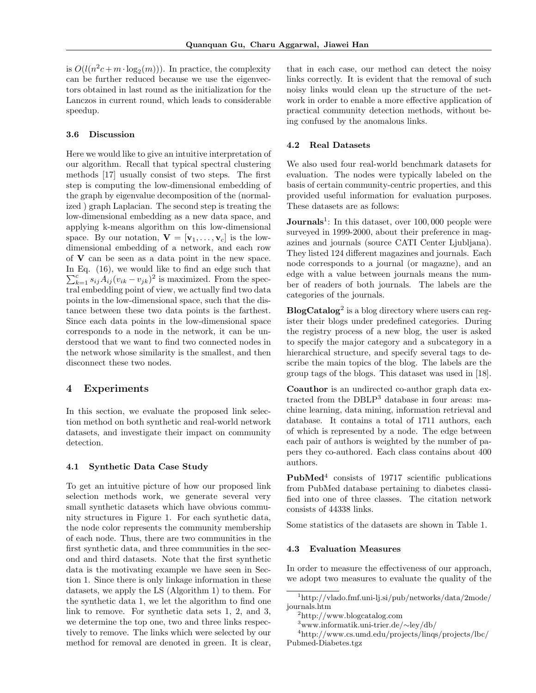is  $O(l(n^2c + m \cdot \log_2(m)))$ . In practice, the complexity can be further reduced because we use the eigenvectors obtained in last round as the initialization for the Lanczos in current round, which leads to considerable speedup.

#### **3.6 Discussion**

Here we would like to give an intuitive interpretation of our algorithm. Recall that typical spectral clustering methods [17] usually consist of two steps. The first step is computing the low-dimensional embedding of the graph by eigenvalue decomposition of the (normalized ) graph Laplacian. The second step is treating the low-dimensional embedding as a new data space, and applying k-means algorithm on this low-dimensional space. By our notation,  $\mathbf{V} = [\mathbf{v}_1, \dots, \mathbf{v}_c]$  is the lowdimensional embedding of a network, and each row of **V** can be seen as a data point in the new space. In Eq. (16), we would like to find an edge such that  $\sum_{k=1}^{c} s_{ij} A_{ij} (v_{ik} - v_{jk})^2$  is maximized. From the spectral embedding point of view, we actually find two data points in the low-dimensional space, such that the distance between these two data points is the farthest. Since each data points in the low-dimensional space corresponds to a node in the network, it can be understood that we want to find two connected nodes in the network whose similarity is the smallest, and then disconnect these two nodes.

# **4 Experiments**

In this section, we evaluate the proposed link selection method on both synthetic and real-world network datasets, and investigate their impact on community detection.

#### **4.1 Synthetic Data Case Study**

To get an intuitive picture of how our proposed link selection methods work, we generate several very small synthetic datasets which have obvious community structures in Figure 1. For each synthetic data, the node color represents the community membership of each node. Thus, there are two communities in the first synthetic data, and three communities in the second and third datasets. Note that the first synthetic data is the motivating example we have seen in Section 1. Since there is only linkage information in these datasets, we apply the LS (Algorithm 1) to them. For the synthetic data 1, we let the algorithm to find one link to remove. For synthetic data sets 1, 2, and 3, we determine the top one, two and three links respectively to remove. The links which were selected by our method for removal are denoted in green. It is clear,

that in each case, our method can detect the noisy links correctly. It is evident that the removal of such noisy links would clean up the structure of the network in order to enable a more effective application of practical community detection methods, without being confused by the anomalous links.

#### **4.2 Real Datasets**

We also used four real-world benchmark datasets for evaluation. The nodes were typically labeled on the basis of certain community-centric properties, and this provided useful information for evaluation purposes. These datasets are as follows:

**Journals**<sup>1</sup>: In this dataset, over 100,000 people were surveyed in 1999-2000, about their preference in magazines and journals (source CATI Center Ljubljana). They listed 124 different magazines and journals. Each node corresponds to a journal (or magazne), and an edge with a value between journals means the number of readers of both journals. The labels are the categories of the journals.

**BlogCatalog**<sup>2</sup> is a blog directory where users can register their blogs under predefined categories. During the registry process of a new blog, the user is asked to specify the major category and a subcategory in a hierarchical structure, and specify several tags to describe the main topics of the blog. The labels are the group tags of the blogs. This dataset was used in [18].

**Coauthor** is an undirected co-author graph data extracted from the DBLP<sup>3</sup> database in four areas: machine learning, data mining, information retrieval and database. It contains a total of 1711 authors, each of which is represented by a node. The edge between each pair of authors is weighted by the number of papers they co-authored. Each class contains about 400 authors.

**PubMed**<sup>4</sup> consists of 19717 scientific publications from PubMed database pertaining to diabetes classified into one of three classes. The citation network consists of 44338 links.

Some statistics of the datasets are shown in Table 1.

#### **4.3 Evaluation Measures**

In order to measure the effectiveness of our approach, we adopt two measures to evaluate the quality of the

<sup>1</sup>http://vlado.fmf.uni-lj.si/pub/networks/data/2mode/ journals.htm

<sup>2</sup>http://www.blogcatalog.com

<sup>3</sup>www.informatik.uni-trier.de/*∼*ley/db/

<sup>4</sup>http://www.cs.umd.edu/projects/linqs/projects/lbc/ Pubmed-Diabetes.tgz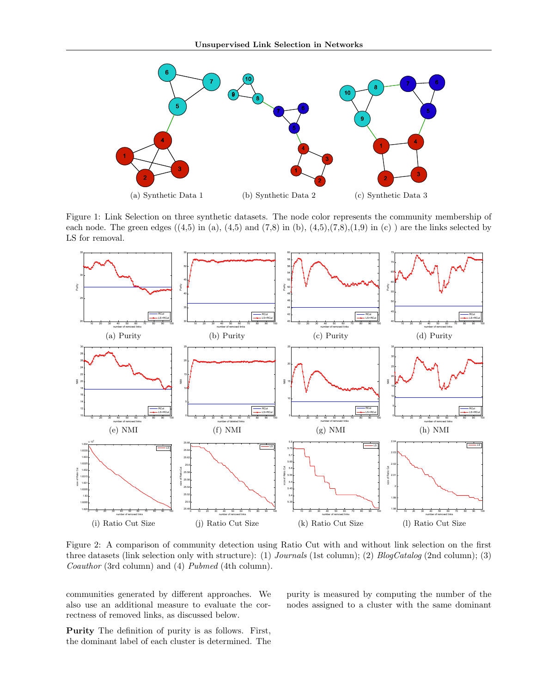

Figure 1: Link Selection on three synthetic datasets. The node color represents the community membership of each node. The green edges  $((4,5)$  in (a),  $(4,5)$  and  $(7,8)$  in (b),  $(4,5)$ , $(7,8)$ , $(1,9)$  in (c)) are the links selected by LS for removal.



Figure 2: A comparison of community detection using Ratio Cut with and without link selection on the first three datasets (link selection only with structure): (1) *Journals* (1st column); (2) *BlogCatalog* (2nd column); (3) *Coauthor* (3rd column) and (4) *Pubmed* (4th column).

communities generated by different approaches. We also use an additional measure to evaluate the correctness of removed links, as discussed below.

**Purity** The definition of purity is as follows. First, the dominant label of each cluster is determined. The purity is measured by computing the number of the nodes assigned to a cluster with the same dominant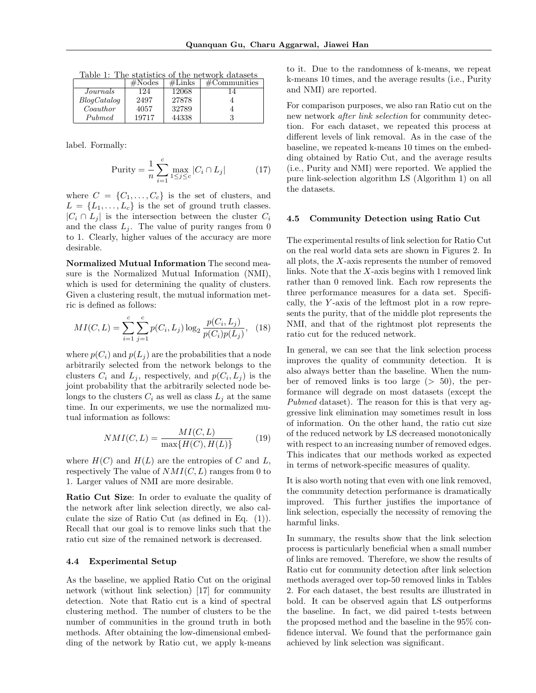Table 1: The statistics of the network datasets

|                | #Nodes | #Links | $\#\mathrm{Communities}$ |
|----------------|--------|--------|--------------------------|
| Journals       | 124    | 12068  |                          |
| $B$ logCatalog | 2497   | 27878  |                          |
| Coauthor       | 4057   | 32789  |                          |
| Pubmed         | 19717  | 44338  |                          |

label. Formally:

$$
\text{Purity} = \frac{1}{n} \sum_{i=1}^{c} \max_{1 \le j \le c} |C_i \cap L_j| \tag{17}
$$

where  $C = \{C_1, \ldots, C_c\}$  is the set of clusters, and  $L = \{L_1, \ldots, L_c\}$  is the set of ground truth classes.  $|C_i \cap L_j|$  is the intersection between the cluster  $C_i$ and the class  $L_j$ . The value of purity ranges from 0 to 1. Clearly, higher values of the accuracy are more desirable.

**Normalized Mutual Information** The second measure is the Normalized Mutual Information (NMI), which is used for determining the quality of clusters. Given a clustering result, the mutual information metric is defined as follows:

$$
MI(C, L) = \sum_{i=1}^{c} \sum_{j=1}^{c} p(C_i, L_j) \log_2 \frac{p(C_i, L_j)}{p(C_i)p(L_j)}, \quad (18)
$$

where  $p(C_i)$  and  $p(L_i)$  are the probabilities that a node arbitrarily selected from the network belongs to the clusters  $C_i$  and  $L_j$ , respectively, and  $p(C_i, L_j)$  is the joint probability that the arbitrarily selected node belongs to the clusters  $C_i$  as well as class  $L_j$  at the same time. In our experiments, we use the normalized mutual information as follows:

$$
NMI(C,L) = \frac{MI(C,L)}{\max\{H(C),H(L)\}}\tag{19}
$$

where  $H(C)$  and  $H(L)$  are the entropies of  $C$  and  $L$ , respectively The value of *NMI*(*C, L*) ranges from 0 to 1. Larger values of NMI are more desirable.

**Ratio Cut Size**: In order to evaluate the quality of the network after link selection directly, we also calculate the size of Ratio Cut (as defined in Eq. (1)). Recall that our goal is to remove links such that the ratio cut size of the remained network is decreased.

### **4.4 Experimental Setup**

As the baseline, we applied Ratio Cut on the original network (without link selection) [17] for community detection. Note that Ratio cut is a kind of spectral clustering method. The number of clusters to be the number of communities in the ground truth in both methods. After obtaining the low-dimensional embedding of the network by Ratio cut, we apply k-means to it. Due to the randomness of k-means, we repeat k-means 10 times, and the average results (i.e., Purity and NMI) are reported.

For comparison purposes, we also ran Ratio cut on the new network *after link selection* for community detection. For each dataset, we repeated this process at different levels of link removal. As in the case of the baseline, we repeated k-means 10 times on the embedding obtained by Ratio Cut, and the average results (i.e., Purity and NMI) were reported. We applied the pure link-selection algorithm LS (Algorithm 1) on all the datasets.

#### **4.5 Community Detection using Ratio Cut**

The experimental results of link selection for Ratio Cut on the real world data sets are shown in Figures 2. In all plots, the *X*-axis represents the number of removed links. Note that the *X*-axis begins with 1 removed link rather than 0 removed link. Each row represents the three performance measures for a data set. Specifically, the *Y* -axis of the leftmost plot in a row represents the purity, that of the middle plot represents the NMI, and that of the rightmost plot represents the ratio cut for the reduced network.

In general, we can see that the link selection process improves the quality of community detection. It is also always better than the baseline. When the number of removed links is too large (*>* 50), the performance will degrade on most datasets (except the *Pubmed* dataset). The reason for this is that very aggressive link elimination may sometimes result in loss of information. On the other hand, the ratio cut size of the reduced network by LS decreased monotonically with respect to an increasing number of removed edges. This indicates that our methods worked as expected in terms of network-specific measures of quality.

It is also worth noting that even with one link removed, the community detection performance is dramatically improved. This further justifies the importance of link selection, especially the necessity of removing the harmful links.

In summary, the results show that the link selection process is particularly beneficial when a small number of links are removed. Therefore, we show the results of Ratio cut for community detection after link selection methods averaged over top-50 removed links in Tables 2. For each dataset, the best results are illustrated in bold. It can be observed again that LS outperforms the baseline. In fact, we did paired t-tests between the proposed method and the baseline in the 95% confidence interval. We found that the performance gain achieved by link selection was significant.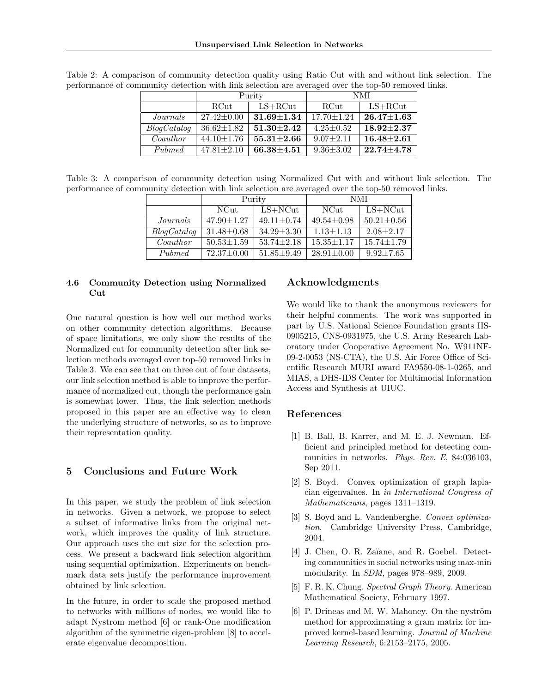|             | Purity           |                | NMI              |                    |
|-------------|------------------|----------------|------------------|--------------------|
|             | RCut             | $LS + RCut$    | <b>RCut</b>      | $LS + RCut$        |
| Journals    | $27.42 \pm 0.00$ | $31.69 + 1.34$ | $17.70 \pm 1.24$ | $26.47 {\pm} 1.63$ |
| BlogCatalog | $36.62 \pm 1.82$ | $51.30 + 2.42$ | $4.25 \pm 0.52$  | $18.92 + 2.37$     |
| Coauthor    | $44.10 \pm 1.76$ | $55.31 + 2.66$ | $9.07 + 2.11$    | $16.48 + 2.61$     |
| Pubmed      | $47.81 \pm 2.10$ | $66.38 + 4.51$ | $9.36 \pm 3.02$  | $22.74 + 4.78$     |

Table 2: A comparison of community detection quality using Ratio Cut with and without link selection. The performance of community detection with link selection are averaged over the top-50 removed links.

Table 3: A comparison of community detection using Normalized Cut with and without link selection. The performance of community detection with link selection are averaged over the top-50 removed links.

|             | Purity           |                  | NMI              |                  |
|-------------|------------------|------------------|------------------|------------------|
|             | NCut             | $LS + NCut$      | NCut             | $LS + NCut$      |
| Journals    | $47.90 \pm 1.27$ | $49.11 \pm 0.74$ | $49.54 \pm 0.98$ | $50.21 \pm 0.56$ |
| BlogCatalog | $31.48 \pm 0.68$ | $34.29 \pm 3.30$ | $1.13 \pm 1.13$  | $2.08 + 2.17$    |
| Coauthor    | $50.53 \pm 1.59$ | $53.74 \pm 2.18$ | $15.35 \pm 1.17$ | $15.74 \pm 1.79$ |
| Pubmed      | $72.37 \pm 0.00$ | $51.85 + 9.49$   | $28.91 \pm 0.00$ | $9.92 + 7.65$    |

### **4.6 Community Detection using Normalized Cut**

One natural question is how well our method works on other community detection algorithms. Because of space limitations, we only show the results of the Normalized cut for community detection after link selection methods averaged over top-50 removed links in Table 3. We can see that on three out of four datasets, our link selection method is able to improve the performance of normalized cut, though the performance gain is somewhat lower. Thus, the link selection methods proposed in this paper are an effective way to clean the underlying structure of networks, so as to improve their representation quality.

# **5 Conclusions and Future Work**

In this paper, we study the problem of link selection in networks. Given a network, we propose to select a subset of informative links from the original network, which improves the quality of link structure. Our approach uses the cut size for the selection process. We present a backward link selection algorithm using sequential optimization. Experiments on benchmark data sets justify the performance improvement obtained by link selection.

In the future, in order to scale the proposed method to networks with millions of nodes, we would like to adapt Nystrom method [6] or rank-One modification algorithm of the symmetric eigen-problem [8] to accelerate eigenvalue decomposition.

# **Acknowledgments**

We would like to thank the anonymous reviewers for their helpful comments. The work was supported in part by U.S. National Science Foundation grants IIS-0905215, CNS-0931975, the U.S. Army Research Laboratory under Cooperative Agreement No. W911NF-09-2-0053 (NS-CTA), the U.S. Air Force Office of Scientific Research MURI award FA9550-08-1-0265, and MIAS, a DHS-IDS Center for Multimodal Information Access and Synthesis at UIUC.

# **References**

- [1] B. Ball, B. Karrer, and M. E. J. Newman. Efficient and principled method for detecting communities in networks. *Phys. Rev. E*, 84:036103, Sep 2011.
- [2] S. Boyd. Convex optimization of graph laplacian eigenvalues. In *in International Congress of Mathematicians*, pages 1311–1319.
- [3] S. Boyd and L. Vandenberghe. *Convex optimization*. Cambridge University Press, Cambridge, 2004.
- [4] J. Chen, O. R. Zaïane, and R. Goebel. Detecting communities in social networks using max-min modularity. In *SDM*, pages 978–989, 2009.
- [5] F. R. K. Chung. *Spectral Graph Theory*. American Mathematical Society, February 1997.
- $[6]$  P. Drineas and M. W. Mahoney. On the nyström method for approximating a gram matrix for improved kernel-based learning. *Journal of Machine Learning Research*, 6:2153–2175, 2005.